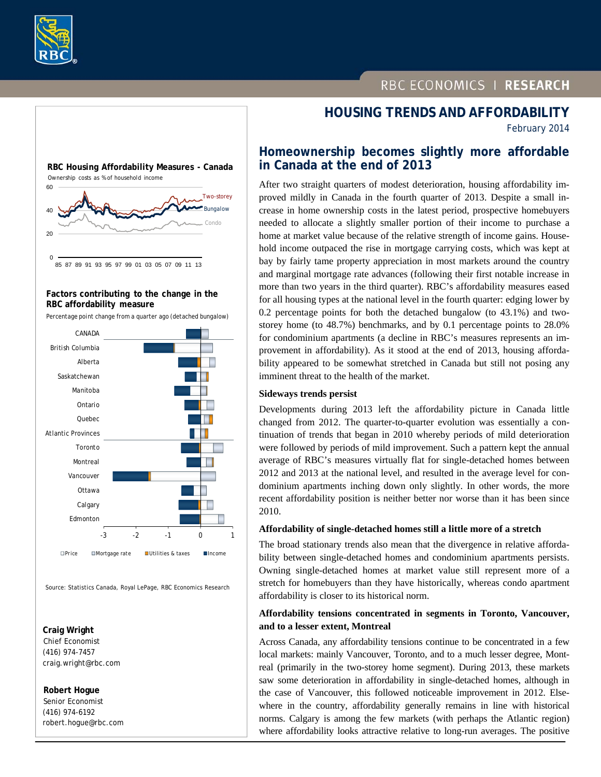



# 60 **RBC Housing Affordability Measures - Canada** Two-storey Ownership costs as % of household income



## **Factors contributing to the change in the RBC affordability measure**

Percentage point change from a quarter ago (detached bungalow)



Source: Statistics Canada, Royal LePage, RBC Economics Research

#### **Craig Wright**  Chief Economist (416) 974-7457 craig.wright@rbc.com

 **Robert Hogue**

 Senior Economist (416) 974-6192 robert.hogue@rbc.com

# **HOUSING TRENDS AND AFFORDABILITY**

February 2014

# **Homeownership becomes slightly more affordable in Canada at the end of 2013**

After two straight quarters of modest deterioration, housing affordability improved mildly in Canada in the fourth quarter of 2013. Despite a small increase in home ownership costs in the latest period, prospective homebuyers needed to allocate a slightly smaller portion of their income to purchase a home at market value because of the relative strength of income gains. Household income outpaced the rise in mortgage carrying costs, which was kept at bay by fairly tame property appreciation in most markets around the country and marginal mortgage rate advances (following their first notable increase in more than two years in the third quarter). RBC's affordability measures eased for all housing types at the national level in the fourth quarter: edging lower by 0.2 percentage points for both the detached bungalow (to 43.1%) and twostorey home (to 48.7%) benchmarks, and by 0.1 percentage points to 28.0% for condominium apartments (a decline in RBC's measures represents an improvement in affordability). As it stood at the end of 2013, housing affordability appeared to be somewhat stretched in Canada but still not posing any imminent threat to the health of the market.

## **Sideways trends persist**

Developments during 2013 left the affordability picture in Canada little changed from 2012. The quarter-to-quarter evolution was essentially a continuation of trends that began in 2010 whereby periods of mild deterioration were followed by periods of mild improvement. Such a pattern kept the annual average of RBC's measures virtually flat for single-detached homes between 2012 and 2013 at the national level, and resulted in the average level for condominium apartments inching down only slightly. In other words, the more recent affordability position is neither better nor worse than it has been since 2010.

## **Affordability of single-detached homes still a little more of a stretch**

The broad stationary trends also mean that the divergence in relative affordability between single-detached homes and condominium apartments persists. Owning single-detached homes at market value still represent more of a stretch for homebuyers than they have historically, whereas condo apartment affordability is closer to its historical norm.

## **Affordability tensions concentrated in segments in Toronto, Vancouver, and to a lesser extent, Montreal**

Across Canada, any affordability tensions continue to be concentrated in a few local markets: mainly Vancouver, Toronto, and to a much lesser degree, Montreal (primarily in the two-storey home segment). During 2013, these markets saw some deterioration in affordability in single-detached homes, although in the case of Vancouver, this followed noticeable improvement in 2012. Elsewhere in the country, affordability generally remains in line with historical norms. Calgary is among the few markets (with perhaps the Atlantic region) where affordability looks attractive relative to long-run averages. The positive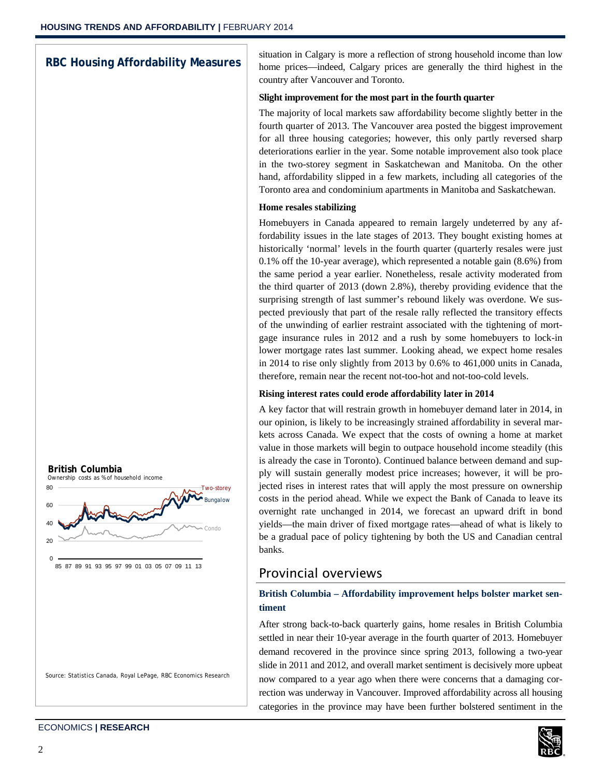# **RBC Housing Affordability Measures**

situation in Calgary is more a reflection of strong household income than low home prices—indeed, Calgary prices are generally the third highest in the country after Vancouver and Toronto.

## **Slight improvement for the most part in the fourth quarter**

The majority of local markets saw affordability become slightly better in the fourth quarter of 2013. The Vancouver area posted the biggest improvement for all three housing categories; however, this only partly reversed sharp deteriorations earlier in the year. Some notable improvement also took place in the two-storey segment in Saskatchewan and Manitoba. On the other hand, affordability slipped in a few markets, including all categories of the Toronto area and condominium apartments in Manitoba and Saskatchewan.

#### **Home resales stabilizing**

Homebuyers in Canada appeared to remain largely undeterred by any affordability issues in the late stages of 2013. They bought existing homes at historically 'normal' levels in the fourth quarter (quarterly resales were just 0.1% off the 10-year average), which represented a notable gain (8.6%) from the same period a year earlier. Nonetheless, resale activity moderated from the third quarter of 2013 (down 2.8%), thereby providing evidence that the surprising strength of last summer's rebound likely was overdone. We suspected previously that part of the resale rally reflected the transitory effects of the unwinding of earlier restraint associated with the tightening of mortgage insurance rules in 2012 and a rush by some homebuyers to lock-in lower mortgage rates last summer. Looking ahead, we expect home resales in 2014 to rise only slightly from 2013 by 0.6% to 461,000 units in Canada, therefore, remain near the recent not-too-hot and not-too-cold levels.

## **Rising interest rates could erode affordability later in 2014**

A key factor that will restrain growth in homebuyer demand later in 2014, in our opinion, is likely to be increasingly strained affordability in several markets across Canada. We expect that the costs of owning a home at market value in those markets will begin to outpace household income steadily (this is already the case in Toronto). Continued balance between demand and supply will sustain generally modest price increases; however, it will be projected rises in interest rates that will apply the most pressure on ownership costs in the period ahead. While we expect the Bank of Canada to leave its overnight rate unchanged in 2014, we forecast an upward drift in bond yields—the main driver of fixed mortgage rates—ahead of what is likely to be a gradual pace of policy tightening by both the US and Canadian central banks.

# Provincial overviews

# **British Columbia – Affordability improvement helps bolster market sentiment**

After strong back-to-back quarterly gains, home resales in British Columbia settled in near their 10-year average in the fourth quarter of 2013. Homebuyer demand recovered in the province since spring 2013, following a two-year slide in 2011 and 2012, and overall market sentiment is decisively more upbeat now compared to a year ago when there were concerns that a damaging correction was underway in Vancouver. Improved affordability across all housing categories in the province may have been further bolstered sentiment in the





85 87 89 91 93 95 97 99 01 03 05 07 09 11 13

Source: Statistics Canada, Royal LePage, RBC Economics Research

Two-storey

Bungalow

Condo

**British Columbia**

Ownership costs as % of household income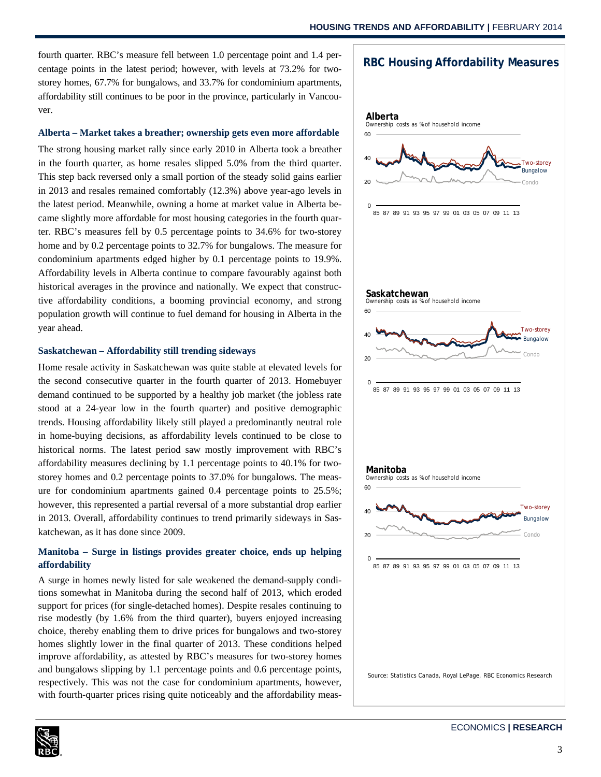fourth quarter. RBC's measure fell between 1.0 percentage point and 1.4 percentage points in the latest period; however, with levels at 73.2% for twostorey homes, 67.7% for bungalows, and 33.7% for condominium apartments, affordability still continues to be poor in the province, particularly in Vancouver.

#### **Alberta – Market takes a breather; ownership gets even more affordable**

The strong housing market rally since early 2010 in Alberta took a breather in the fourth quarter, as home resales slipped 5.0% from the third quarter. This step back reversed only a small portion of the steady solid gains earlier in 2013 and resales remained comfortably (12.3%) above year-ago levels in the latest period. Meanwhile, owning a home at market value in Alberta became slightly more affordable for most housing categories in the fourth quarter. RBC's measures fell by 0.5 percentage points to 34.6% for two-storey home and by 0.2 percentage points to 32.7% for bungalows. The measure for condominium apartments edged higher by 0.1 percentage points to 19.9%. Affordability levels in Alberta continue to compare favourably against both historical averages in the province and nationally. We expect that constructive affordability conditions, a booming provincial economy, and strong population growth will continue to fuel demand for housing in Alberta in the year ahead.

#### **Saskatchewan – Affordability still trending sideways**

Home resale activity in Saskatchewan was quite stable at elevated levels for the second consecutive quarter in the fourth quarter of 2013. Homebuyer demand continued to be supported by a healthy job market (the jobless rate stood at a 24-year low in the fourth quarter) and positive demographic trends. Housing affordability likely still played a predominantly neutral role in home-buying decisions, as affordability levels continued to be close to historical norms. The latest period saw mostly improvement with RBC's affordability measures declining by 1.1 percentage points to 40.1% for twostorey homes and 0.2 percentage points to 37.0% for bungalows. The measure for condominium apartments gained 0.4 percentage points to 25.5%; however, this represented a partial reversal of a more substantial drop earlier in 2013. Overall, affordability continues to trend primarily sideways in Saskatchewan, as it has done since 2009.

## **Manitoba – Surge in listings provides greater choice, ends up helping affordability**

A surge in homes newly listed for sale weakened the demand-supply conditions somewhat in Manitoba during the second half of 2013, which eroded support for prices (for single-detached homes). Despite resales continuing to rise modestly (by 1.6% from the third quarter), buyers enjoyed increasing choice, thereby enabling them to drive prices for bungalows and two-storey homes slightly lower in the final quarter of 2013. These conditions helped improve affordability, as attested by RBC's measures for two-storey homes and bungalows slipping by 1.1 percentage points and 0.6 percentage points, respectively. This was not the case for condominium apartments, however, with fourth-quarter prices rising quite noticeably and the affordability meas-





Source: Statistics Canada, Royal LePage, RBC Economics Research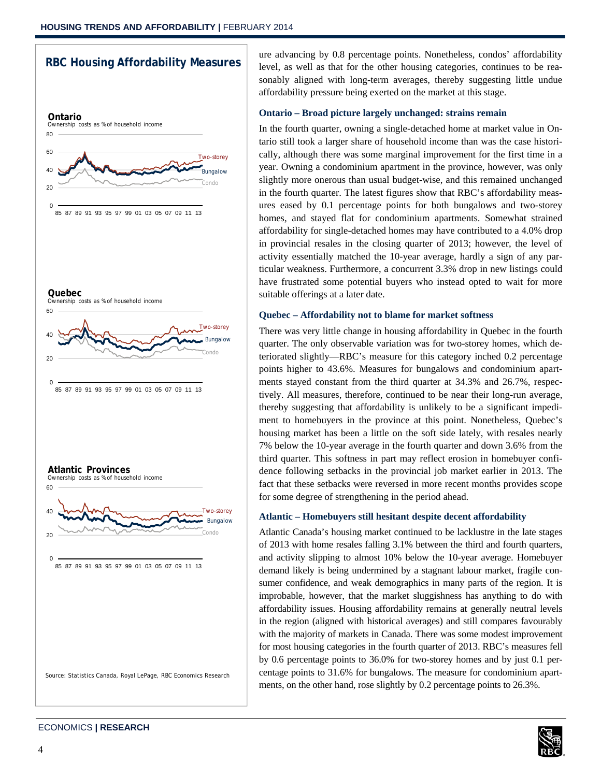

ECONOMICS **| RESEARCH**

ure advancing by 0.8 percentage points. Nonetheless, condos' affordability level, as well as that for the other housing categories, continues to be reasonably aligned with long-term averages, thereby suggesting little undue affordability pressure being exerted on the market at this stage.

#### **Ontario – Broad picture largely unchanged: strains remain**

In the fourth quarter, owning a single-detached home at market value in Ontario still took a larger share of household income than was the case historically, although there was some marginal improvement for the first time in a year. Owning a condominium apartment in the province, however, was only slightly more onerous than usual budget-wise, and this remained unchanged in the fourth quarter. The latest figures show that RBC's affordability measures eased by 0.1 percentage points for both bungalows and two-storey homes, and stayed flat for condominium apartments. Somewhat strained affordability for single-detached homes may have contributed to a 4.0% drop in provincial resales in the closing quarter of 2013; however, the level of activity essentially matched the 10-year average, hardly a sign of any particular weakness. Furthermore, a concurrent 3.3% drop in new listings could have frustrated some potential buyers who instead opted to wait for more suitable offerings at a later date.

## **Quebec – Affordability not to blame for market softness**

There was very little change in housing affordability in Quebec in the fourth quarter. The only observable variation was for two-storey homes, which deteriorated slightly—RBC's measure for this category inched 0.2 percentage points higher to 43.6%. Measures for bungalows and condominium apartments stayed constant from the third quarter at 34.3% and 26.7%, respectively. All measures, therefore, continued to be near their long-run average, thereby suggesting that affordability is unlikely to be a significant impediment to homebuyers in the province at this point. Nonetheless, Quebec's housing market has been a little on the soft side lately, with resales nearly 7% below the 10-year average in the fourth quarter and down 3.6% from the third quarter. This softness in part may reflect erosion in homebuyer confidence following setbacks in the provincial job market earlier in 2013. The fact that these setbacks were reversed in more recent months provides scope for some degree of strengthening in the period ahead.

## **Atlantic – Homebuyers still hesitant despite decent affordability**

Atlantic Canada's housing market continued to be lacklustre in the late stages of 2013 with home resales falling 3.1% between the third and fourth quarters, and activity slipping to almost 10% below the 10-year average. Homebuyer demand likely is being undermined by a stagnant labour market, fragile consumer confidence, and weak demographics in many parts of the region. It is improbable, however, that the market sluggishness has anything to do with affordability issues. Housing affordability remains at generally neutral levels in the region (aligned with historical averages) and still compares favourably with the majority of markets in Canada. There was some modest improvement for most housing categories in the fourth quarter of 2013. RBC's measures fell by 0.6 percentage points to 36.0% for two-storey homes and by just 0.1 percentage points to 31.6% for bungalows. The measure for condominium apartments, on the other hand, rose slightly by 0.2 percentage points to 26.3%.

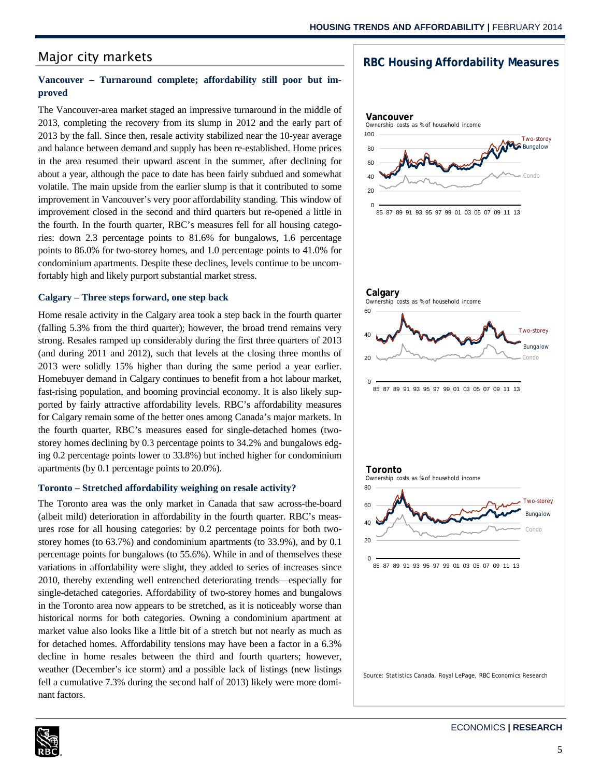# Major city markets

## **Vancouver – Turnaround complete; affordability still poor but improved**

The Vancouver-area market staged an impressive turnaround in the middle of 2013, completing the recovery from its slump in 2012 and the early part of 2013 by the fall. Since then, resale activity stabilized near the 10-year average and balance between demand and supply has been re-established. Home prices in the area resumed their upward ascent in the summer, after declining for about a year, although the pace to date has been fairly subdued and somewhat volatile. The main upside from the earlier slump is that it contributed to some improvement in Vancouver's very poor affordability standing. This window of improvement closed in the second and third quarters but re-opened a little in the fourth. In the fourth quarter, RBC's measures fell for all housing categories: down 2.3 percentage points to 81.6% for bungalows, 1.6 percentage points to 86.0% for two-storey homes, and 1.0 percentage points to 41.0% for condominium apartments. Despite these declines, levels continue to be uncomfortably high and likely purport substantial market stress.

#### **Calgary – Three steps forward, one step back**

Home resale activity in the Calgary area took a step back in the fourth quarter (falling 5.3% from the third quarter); however, the broad trend remains very strong. Resales ramped up considerably during the first three quarters of 2013 (and during 2011 and 2012), such that levels at the closing three months of 2013 were solidly 15% higher than during the same period a year earlier. Homebuyer demand in Calgary continues to benefit from a hot labour market, fast-rising population, and booming provincial economy. It is also likely supported by fairly attractive affordability levels. RBC's affordability measures for Calgary remain some of the better ones among Canada's major markets. In the fourth quarter, RBC's measures eased for single-detached homes (twostorey homes declining by 0.3 percentage points to 34.2% and bungalows edging 0.2 percentage points lower to 33.8%) but inched higher for condominium apartments (by 0.1 percentage points to 20.0%).

## **Toronto – Stretched affordability weighing on resale activity?**

The Toronto area was the only market in Canada that saw across-the-board (albeit mild) deterioration in affordability in the fourth quarter. RBC's measures rose for all housing categories: by 0.2 percentage points for both twostorey homes (to 63.7%) and condominium apartments (to 33.9%), and by 0.1 percentage points for bungalows (to 55.6%). While in and of themselves these variations in affordability were slight, they added to series of increases since 2010, thereby extending well entrenched deteriorating trends—especially for single-detached categories. Affordability of two-storey homes and bungalows in the Toronto area now appears to be stretched, as it is noticeably worse than historical norms for both categories. Owning a condominium apartment at market value also looks like a little bit of a stretch but not nearly as much as for detached homes. Affordability tensions may have been a factor in a 6.3% decline in home resales between the third and fourth quarters; however, weather (December's ice storm) and a possible lack of listings (new listings fell a cumulative 7.3% during the second half of 2013) likely were more dominant factors.



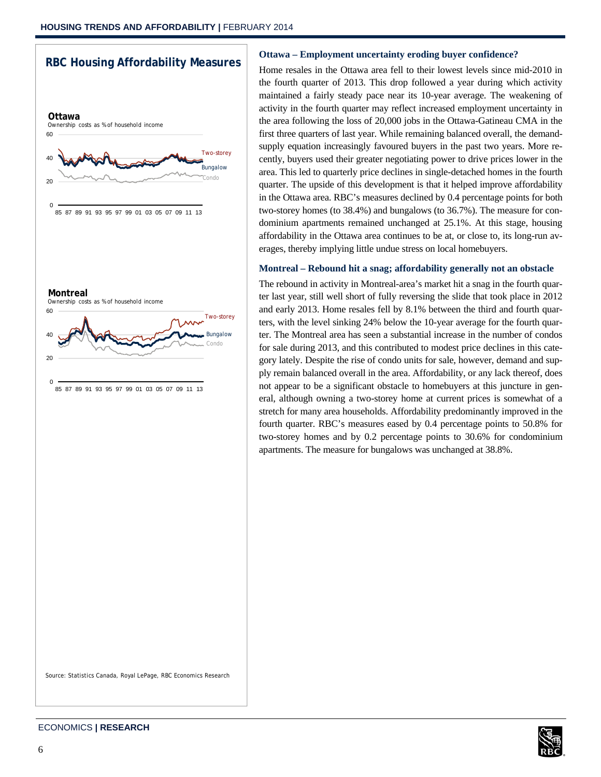



#### **Ottawa – Employment uncertainty eroding buyer confidence?**

Home resales in the Ottawa area fell to their lowest levels since mid-2010 in the fourth quarter of 2013. This drop followed a year during which activity maintained a fairly steady pace near its 10-year average. The weakening of activity in the fourth quarter may reflect increased employment uncertainty in the area following the loss of 20,000 jobs in the Ottawa-Gatineau CMA in the first three quarters of last year. While remaining balanced overall, the demandsupply equation increasingly favoured buyers in the past two years. More recently, buyers used their greater negotiating power to drive prices lower in the area. This led to quarterly price declines in single-detached homes in the fourth quarter. The upside of this development is that it helped improve affordability in the Ottawa area. RBC's measures declined by 0.4 percentage points for both two-storey homes (to 38.4%) and bungalows (to 36.7%). The measure for condominium apartments remained unchanged at 25.1%. At this stage, housing affordability in the Ottawa area continues to be at, or close to, its long-run averages, thereby implying little undue stress on local homebuyers.

#### **Montreal – Rebound hit a snag; affordability generally not an obstacle**

The rebound in activity in Montreal-area's market hit a snag in the fourth quarter last year, still well short of fully reversing the slide that took place in 2012 and early 2013. Home resales fell by 8.1% between the third and fourth quarters, with the level sinking 24% below the 10-year average for the fourth quarter. The Montreal area has seen a substantial increase in the number of condos for sale during 2013, and this contributed to modest price declines in this category lately. Despite the rise of condo units for sale, however, demand and supply remain balanced overall in the area. Affordability, or any lack thereof, does not appear to be a significant obstacle to homebuyers at this juncture in general, although owning a two-storey home at current prices is somewhat of a stretch for many area households. Affordability predominantly improved in the fourth quarter. RBC's measures eased by 0.4 percentage points to 50.8% for two-storey homes and by 0.2 percentage points to 30.6% for condominium apartments. The measure for bungalows was unchanged at 38.8%.

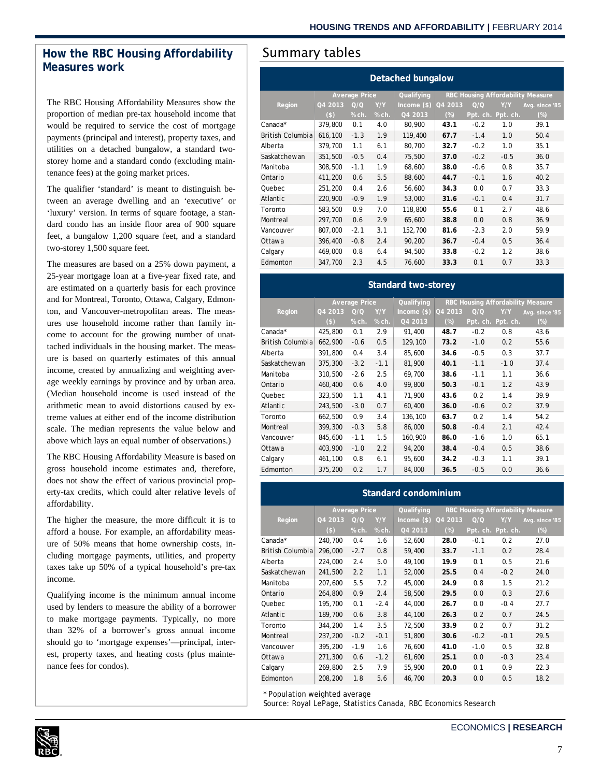# How the RBC Housing Affordability | Summary tables **Measures work**

The RBC Housing Affordability Measures show the proportion of median pre-tax household income that would be required to service the cost of mortgage payments (principal and interest), property taxes, and utilities on a detached bungalow, a standard twostorey home and a standard condo (excluding maintenance fees) at the going market prices.

The qualifier 'standard' is meant to distinguish between an average dwelling and an 'executive' or 'luxury' version. In terms of square footage, a standard condo has an inside floor area of 900 square feet, a bungalow 1,200 square feet, and a standard two-storey 1,500 square feet.

The measures are based on a 25% down payment, a 25-year mortgage loan at a five-year fixed rate, and are estimated on a quarterly basis for each province and for Montreal, Toronto, Ottawa, Calgary, Edmonton, and Vancouver-metropolitan areas. The measures use household income rather than family income to account for the growing number of unattached individuals in the housing market. The measure is based on quarterly estimates of this annual income, created by annualizing and weighting average weekly earnings by province and by urban area. (Median household income is used instead of the arithmetic mean to avoid distortions caused by extreme values at either end of the income distribution scale. The median represents the value below and above which lays an equal number of observations.)

The RBC Housing Affordability Measure is based on gross household income estimates and, therefore, does not show the effect of various provincial property-tax credits, which could alter relative levels of affordability.

The higher the measure, the more difficult it is to afford a house. For example, an affordability measure of 50% means that home ownership costs, including mortgage payments, utilities, and property taxes take up 50% of a typical household's pre-tax income.

Qualifying income is the minimum annual income used by lenders to measure the ability of a borrower to make mortgage payments. Typically, no more than 32% of a borrower's gross annual income should go to 'mortgage expenses'—principal, interest, property taxes, and heating costs (plus maintenance fees for condos).

| <b>Detached bungalow</b> |                      |        |       |               |                                          |        |                   |                |  |
|--------------------------|----------------------|--------|-------|---------------|------------------------------------------|--------|-------------------|----------------|--|
|                          | <b>Average Price</b> |        |       | Qualifying    | <b>RBC Housing Affordability Measure</b> |        |                   |                |  |
| Region                   | Q4 2013              | Q/Q    | Y/Y   | $Income$ (\$) | Q4 2013                                  | Q/Q    | Y/Y               | Avg. since '85 |  |
|                          | $($ \$)              | % ch.  | % ch. | Q4 2013       | $(\%)$                                   |        | Ppt. ch. Ppt. ch. | $(\%)$         |  |
| Canada*                  | 379,800              | 0.1    | 4.0   | 80,900        | 43.1                                     | $-0.2$ | 1.0               | 39.1           |  |
| <b>British Columbia</b>  | 616,100              | $-1.3$ | 1.9   | 119,400       | 67.7                                     | $-1.4$ | 1.0               | 50.4           |  |
| Alberta                  | 379,700              | 1.1    | 6.1   | 80,700        | 32.7                                     | $-0.2$ | 1.0               | 35.1           |  |
| Saskatchewan             | 351,500              | $-0.5$ | 0.4   | 75,500        | 37.0                                     | $-0.2$ | $-0.5$            | 36.0           |  |
| Manitoba                 | 308,500              | $-1.1$ | 1.9   | 68,600        | 38.0                                     | $-0.6$ | 0.8               | 35.7           |  |
| Ontario                  | 411,200              | 0.6    | 5.5   | 88,600        | 44.7                                     | $-0.1$ | 1.6               | 40.2           |  |
| Quebec                   | 251,200              | 0.4    | 2.6   | 56,600        | 34.3                                     | 0.0    | 0.7               | 33.3           |  |
| Atlantic                 | 220,900              | $-0.9$ | 1.9   | 53,000        | 31.6                                     | $-0.1$ | 0.4               | 31.7           |  |
| Toronto                  | 583,500              | 0.9    | 7.0   | 118,800       | 55.6                                     | 0.1    | 2.7               | 48.6           |  |
| Montreal                 | 297,700              | 0.6    | 2.9   | 65,600        | 38.8                                     | 0.0    | 0.8               | 36.9           |  |
| Vancouver                | 807,000              | $-2.1$ | 3.1   | 152,700       | 81.6                                     | $-2.3$ | 2.0               | 59.9           |  |
| Ottawa                   | 396,400              | $-0.8$ | 2.4   | 90,200        | 36.7                                     | $-0.4$ | 0.5               | 36.4           |  |
| Calgary                  | 469,000              | 0.8    | 6.4   | 94,500        | 33.8                                     | $-0.2$ | 1.2               | 38.6           |  |
| Edmonton                 | 347,700              | 2.3    | 4.5   | 76,600        | 33.3                                     | 0.1    | 0.7               | 33.3           |  |

#### **Standard two-storey**

|                  | <b>Average Price</b> |        |        | Qualifying    | <b>RBC Housing Affordability Measure</b> |        |                   |                |
|------------------|----------------------|--------|--------|---------------|------------------------------------------|--------|-------------------|----------------|
| Region           | Q4 2013              | Q/O    | Y/Y    | $Income$ (\$) | Q4 2013                                  | Q/Q    | Y/Y               | Avg. since '85 |
|                  | $($)$                | % ch.  | % ch.  | Q4 2013       | $(\%)$                                   |        | Ppt. ch. Ppt. ch. | $(\%)$         |
| Canada*          | 425,800              | 0.1    | 2.9    | 91,400        | 48.7                                     | $-0.2$ | 0.8               | 43.6           |
| British Columbia | 662,900              | $-0.6$ | 0.5    | 129,100       | 73.2                                     | $-1.0$ | 0.2               | 55.6           |
| Alberta          | 391,800              | 0.4    | 3.4    | 85,600        | 34.6                                     | $-0.5$ | 0.3               | 37.7           |
| Saskatchewan     | 375,300              | $-3.2$ | $-1.1$ | 81,900        | 40.1                                     | $-1.1$ | $-1.0$            | 37.4           |
| Manitoba         | 310,500              | $-2.6$ | 2.5    | 69,700        | 38.6                                     | $-1.1$ | 1.1               | 36.6           |
| Ontario          | 460.400              | 0.6    | 4.0    | 99,800        | 50.3                                     | $-0.1$ | 1.2               | 43.9           |
| Quebec           | 323,500              | 1.1    | 4.1    | 71,900        | 43.6                                     | 0.2    | 1.4               | 39.9           |
| Atlantic         | 243,500              | $-3.0$ | 0.7    | 60,400        | 36.0                                     | $-0.6$ | 0.2               | 37.9           |
| Toronto          | 662,500              | 0.9    | 3.4    | 136,100       | 63.7                                     | 0.2    | 1.4               | 54.2           |
| Montreal         | 399,300              | $-0.3$ | 5.8    | 86,000        | 50.8                                     | $-0.4$ | 2.1               | 42.4           |
| Vancouver        | 845,600              | $-1.1$ | 1.5    | 160,900       | 86.0                                     | $-1.6$ | 1.0               | 65.1           |
| Ottawa           | 403.900              | $-1.0$ | 2.2    | 94.200        | 38.4                                     | $-0.4$ | 0.5               | 38.6           |
| Calgary          | 461,100              | 0.8    | 6.1    | 95,600        | 34.2                                     | $-0.3$ | 1.1               | 39.1           |
| Edmonton         | 375,200              | 0.2    | 1.7    | 84,000        | 36.5                                     | $-0.5$ | 0.0               | 36.6           |

#### **Standard condominium**

|                  | <b>Average Price</b> |                  |         | Qualifying    | RBC Housing Affordability Measure |        |                   |                |
|------------------|----------------------|------------------|---------|---------------|-----------------------------------|--------|-------------------|----------------|
| Region           | Q4 2013              | $\overline{Q}/Q$ | Y/Y     | Income $(\$)$ | Q4 2013                           | Q/Q    | Y/Y               | Avg. since '85 |
|                  | $($)$                | % ch.            | $%$ ch. | Q4 2013       | $(\%)$                            |        | Ppt. ch. Ppt. ch. | $(\%)$         |
| Canada*          | 240,700              | 0.4              | 1.6     | 52,600        | 28.0                              | $-0.1$ | 0.2               | 27.0           |
| British Columbia | 296,000              | $-2.7$           | 0.8     | 59,400        | 33.7                              | $-1.1$ | 0.2               | 28.4           |
| Alberta          | 224,000              | 2.4              | 5.0     | 49,100        | 19.9                              | 0.1    | 0.5               | 21.6           |
| Saskatchewan     | 241,500              | 2.2              | 1.1     | 52,000        | 25.5                              | 0.4    | $-0.2$            | 24.0           |
| Manitoba         | 207,600              | 5.5              | 7.2     | 45,000        | 24.9                              | 0.8    | 1.5               | 21.2           |
| Ontario          | 264,800              | 0.9              | 2.4     | 58,500        | 29.5                              | 0.0    | 0.3               | 27.6           |
| Quebec           | 195,700              | 0.1              | $-2.4$  | 44,000        | 26.7                              | 0.0    | $-0.4$            | 27.7           |
| Atlantic         | 189,700              | 0.6              | 3.8     | 44,100        | 26.3                              | 0.2    | 0.7               | 24.5           |
| Toronto          | 344,200              | 1.4              | 3.5     | 72.500        | 33.9                              | 0.2    | 0.7               | 31.2           |
| Montreal         | 237,200              | $-0.2$           | $-0.1$  | 51,800        | 30.6                              | $-0.2$ | $-0.1$            | 29.5           |
| Vancouver        | 395,200              | $-1.9$           | 1.6     | 76,600        | 41.0                              | $-1.0$ | 0.5               | 32.8           |
| Ottawa           | 271,300              | 0.6              | $-1.2$  | 61,600        | 25.1                              | 0.0    | $-0.3$            | 23.4           |
| Calgary          | 269,800              | 2.5              | 7.9     | 55,900        | 20.0                              | 0.1    | 0.9               | 22.3           |
| Edmonton         | 208,200              | 1.8              | 5.6     | 46,700        | 20.3                              | 0.0    | 0.5               | 18.2           |

\* Population weighted average

Source: Royal LePage, Statistics Canada, RBC Economics Research



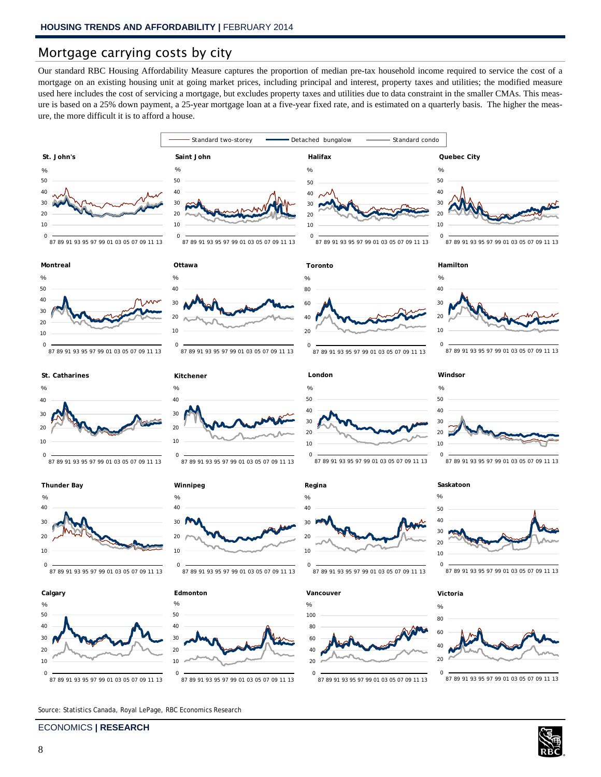# Mortgage carrying costs by city

Our standard RBC Housing Affordability Measure captures the proportion of median pre-tax household income required to service the cost of a mortgage on an existing housing unit at going market prices, including principal and interest, property taxes and utilities; the modified measure used here includes the cost of servicing a mortgage, but excludes property taxes and utilities due to data constraint in the smaller CMAs. This measure is based on a 25% down payment, a 25-year mortgage loan at a five-year fixed rate, and is estimated on a quarterly basis. The higher the measure, the more difficult it is to afford a house.



ECONOMICS **| RESEARCH**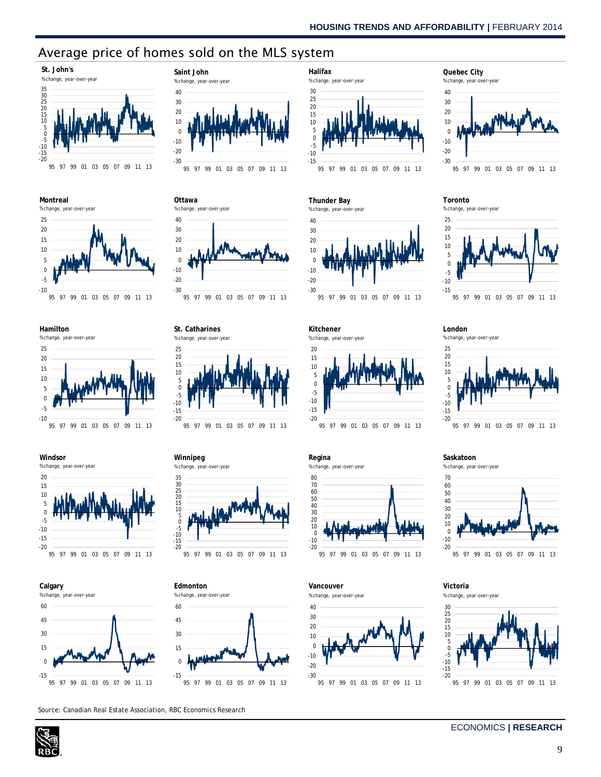# Average price of homes sold on the MLS system

**Saint John** % change, year-over-year

40









**Windsor**









**St. Catharines**

% change, year-over-year



**Winnipeg**





Source: Canadian Real Estate Association, RBC Economics Research



**Thunder Bay**



-20 -15 -10 -5 0 5 10 15 20 **Kitchener** % change, year-over-year



**Regina**



**Vancouver**





**Toronto**



**London**



**Saskatoon**



95 97 99 01 03 05 07 09 11 13

**Victoria** % change, year-over-year



#### ECONOMICS **| RESEARCH**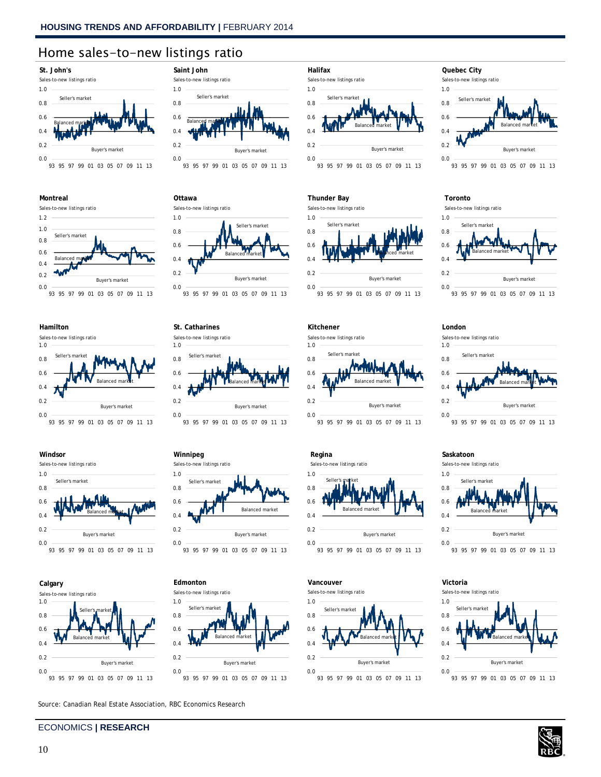0.0 0.2 0.4 0.6 0.8 1.0

**St. Catharines** Sales-to-new listings ratio Seller's market

0.0 0.2 0.4 0.6 0.8 1.0

**Winnipeg** Sales-to-new listings ratio Seller's market

0.0 0.2 0.4 0.6 0.8 1.0

**Edmonton** Sales-to-new listings ratio Seller's

0.0 0.2 0.4 0.6 0.8 1.0

**Ottawa**

Sales-to-new listings ratio

# Home sales-to-new listings ratio















Source: Canadian Real Estate Association, RBC Economics Research

# ECONOMICS **| RESEARCH**



93 95 97 99 01 03 05 07 09 11 13

93 95 97 99 01 03 05 07 09 11 13

93 95 97 99 01 03 05 07 09 11 13

93 95 97 99 01 03 05 07 09 11 13

Buyer's market

Balanced market

Balanced market

Buyer's market

Balanced market

Buyer's market

Seller's market

Balanced market

Buyer's market



**Halifax** Sales-to-new listings ratio

## **Thunder Bay**













#### **Toronto**



#### **London**



93 95 97 99 01 03 05 07 09 11 13

#### **Saskatoon**

Sales-to-new listings ratio



## **Victoria**